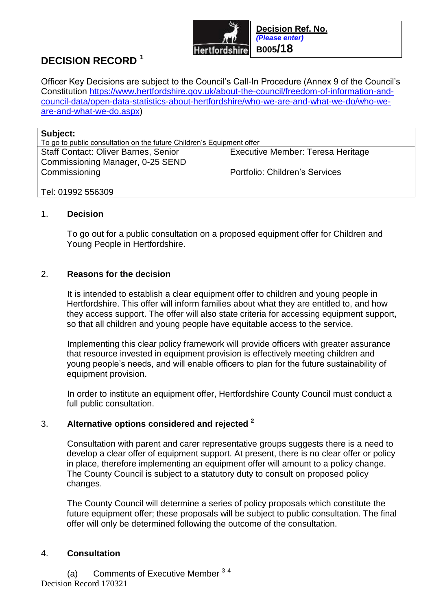

# **DECISION RECORD <sup>1</sup>**

Officer Key Decisions are subject to the Council's Call-In Procedure (Annex 9 of the Council's Constitution [https://www.hertfordshire.gov.uk/about-the-council/freedom-of-information-and](https://www.hertfordshire.gov.uk/about-the-council/freedom-of-information-and-council-data/open-data-statistics-about-hertfordshire/who-we-are-and-what-we-do/who-we-are-and-what-we-do.aspx)[council-data/open-data-statistics-about-hertfordshire/who-we-are-and-what-we-do/who-we](https://www.hertfordshire.gov.uk/about-the-council/freedom-of-information-and-council-data/open-data-statistics-about-hertfordshire/who-we-are-and-what-we-do/who-we-are-and-what-we-do.aspx)[are-and-what-we-do.aspx\)](https://www.hertfordshire.gov.uk/about-the-council/freedom-of-information-and-council-data/open-data-statistics-about-hertfordshire/who-we-are-and-what-we-do/who-we-are-and-what-we-do.aspx)

| Subject:                                                              |                                          |  |
|-----------------------------------------------------------------------|------------------------------------------|--|
| To go to public consultation on the future Children's Equipment offer |                                          |  |
| <b>Staff Contact: Oliver Barnes, Senior</b>                           | <b>Executive Member: Teresa Heritage</b> |  |
| Commissioning Manager, 0-25 SEND                                      |                                          |  |
| Commissioning                                                         | <b>Portfolio: Children's Services</b>    |  |
|                                                                       |                                          |  |
| Tel: 01992 556309                                                     |                                          |  |

### 1. **Decision**

To go out for a public consultation on a proposed equipment offer for Children and Young People in Hertfordshire.

#### 2. **Reasons for the decision**

It is intended to establish a clear equipment offer to children and young people in Hertfordshire. This offer will inform families about what they are entitled to, and how they access support. The offer will also state criteria for accessing equipment support, so that all children and young people have equitable access to the service.

Implementing this clear policy framework will provide officers with greater assurance that resource invested in equipment provision is effectively meeting children and young people's needs, and will enable officers to plan for the future sustainability of equipment provision.

In order to institute an equipment offer, Hertfordshire County Council must conduct a full public consultation.

### 3. **Alternative options considered and rejected <sup>2</sup>**

Consultation with parent and carer representative groups suggests there is a need to develop a clear offer of equipment support. At present, there is no clear offer or policy in place, therefore implementing an equipment offer will amount to a policy change. The County Council is subject to a statutory duty to consult on proposed policy changes.

The County Council will determine a series of policy proposals which constitute the future equipment offer; these proposals will be subject to public consultation. The final offer will only be determined following the outcome of the consultation.

### 4. **Consultation**

Decision Record 170321 (a) Comments of Executive Member 34